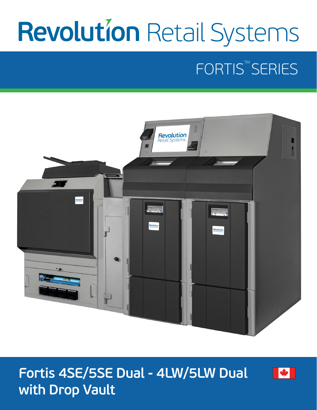# **Revolution Retail Systems**

# FORTIS<sup>™</sup>SERIES



### **Fortis 4SE/5SE Dual - 4LW/5LW Dual with Drop Vault**

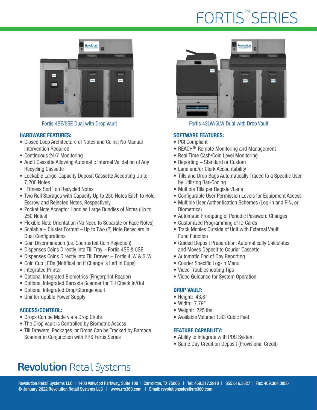# FORTIS<sup>™</sup>SERIES



#### HARDWARE FEATURES:

- Closed Loop Architecture of Notes and Coins; No Manual Intervention Required
- Continuous 24/7 Monitoring
- Audit Cassette Allowing Automatic Internal Validation of Any Recycling Cassette
- Lockable Large-Capacity Deposit Cassette Accepting Up to 7,200 Notes
- "Fitness Sort" on Recycled Notes
- Two Roll Storages with Capacity Up to 250 Notes Each to Hold Escrow and Rejected Notes, Respectively
- Pocket Note Acceptor Handles Large Bundles of Notes (Up to 250 Notes)
- Flexible Note Orientation (No Need to Separate or Face Notes)
- Scalable Cluster Format Up to Two (2) Note Recyclers in Dual Configurations
- Coin Discrimination (*i.e.* Counterfeit Coin Rejection)
- Dispenses Coins Directly into Till Tray Fortis 4SE & 5SE
- Dispenses Coins Directly into Till Drawer Fortis 4LW & 5LW
- Coin Cup LEDs (Notification if Change is Left in Cups)
- Integrated Printer
- Optional Integrated Biometrics (Fingerprint Reader)
- Optional Integrated Barcode Scanner for Till Check In/Out
- Optional Integrated Drop/Storage Vault
- Uninterruptible Power Supply

#### ACCESS/CONTROL:

- Drops Can be Made via a Drop Chute
- The Drop Vault is Controlled by Biometric Access
- Till Drawers, Packages, or Drops Can be Tracked by Barcode Scanner in Conjunction with RRS Fortis Series



Fortis 4SE/5SE Dual with Drop Vault Fortis 43LW/5LW Dual with Drop Vault

#### SOFTWARE FEATURES:

- PCI Compliant
- REACHTM Remote Monitoring and Management
- Real Time Cash/Coin Level Monitoring
- Reporting Standard or Custom
- Lane and/or Clerk Accountability
- Tills and Drop Bags Automatically Traced to a Specific User by Utilizing Bar-Coding
- Multiple Tills per Register/Lane
- Configurable User Permission Levels for Equipment Access
- Multiple User Authentication Schemes (Log-in and PIN, or Biometrics)
- Automatic Prompting of Periodic Password Changes
- Customized Programming of ID Cards
- Track Monies Outside of Unit with External Vault Fund Function
- Guided Deposit Preparation: Automatically Calculates and Moves Deposit to Courier Cassette
- Automatic End of Day Reporting
- Courier Specific Log-In Menu
- Video Troubleshooting Tips
- Video Guidance for System Operation

#### DROP VAULT:

- Height: 43.8"
- Width: 7.79"
- Weight: 225 lbs.
- Available Volume: 1.83 Cubic Feet

#### FEATURE CAPABILITY:

- Ability to Integrate with POS System
- Same Day Credit on Deposit (Provisional Credit)

### **Revolution Retail Systems**

Revolution Retail Systems LLC | 1400 Valwood Parkway, Suite 100 | Carrollton, TX 75006 | Tel: 469.317.2910 | 855.616.3827 | Fax: 469.364.3856 © January 2022 Revolution Retail Systems LLC | www.rrs360.com | Email: revolutionsales@rrs360.com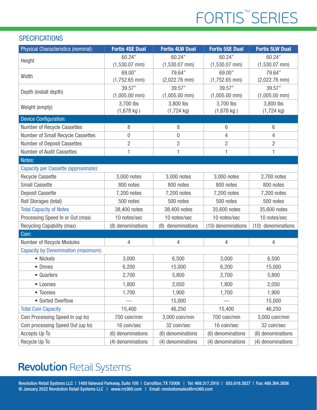# FORTIS<sup>™</sup>SERIES

#### **SPECIFICATIONS**

| Physical Characteristics (nominal):        | <b>Fortis 4SE Dual</b> | <b>Fortis 4LW Dual</b> | <b>Fortis 5SE Dual</b> | <b>Fortis 5LW Dual</b> |
|--------------------------------------------|------------------------|------------------------|------------------------|------------------------|
| Height                                     | 60.24"                 | 60.24"                 | 60.24"                 | 60.24"                 |
|                                            | $(1,530.07$ mm)        | $(1,530.07$ mm)        | $(1,530.07$ mm)        | $(1,530.07$ mm)        |
| Width                                      | 69.00"                 | 79.64"                 | 69.00"                 | 79.64"                 |
|                                            | $(1,752.65$ mm)        | $(2,022.76$ mm)        | $(1,752.65$ mm)        | $(2,022.76$ mm)        |
| Depth (install depth)                      | 39.57"                 | 39.57"                 | 39.57"                 | 39.57"                 |
|                                            | $(1,005.00$ mm)        | $(1,005.00$ mm)        | $(1,005.00$ mm)        | $(1,005.00$ mm)        |
| Weight (empty)                             | 3,700 lbs              | 3,800 lbs              | 3,700 lbs              | 3,800 lbs              |
|                                            | $(1,678$ kg)           | $(1,724$ kg)           | $(1,678$ kg)           | $(1,724$ kg)           |
| <b>Device Configuration:</b>               |                        |                        |                        |                        |
| Number of Recycle Cassettes                | 8                      | 8                      | 6                      | 6                      |
| Number of Small Recycle Cassettes          | 0                      | 0                      | 4                      | 4                      |
| Number of Deposit Cassettes                | $\overline{2}$         | $\overline{2}$         | $\overline{2}$         | $\overline{2}$         |
| Number of Audit Cassettes                  | 1                      | 1                      | 1                      | 1                      |
| Notes:                                     |                        |                        |                        |                        |
| Capacity per Cassette (approximate):       |                        |                        |                        |                        |
| <b>Recycle Cassette</b>                    | 3,000 notes            | 3,000 notes            | 3,000 notes            | 2,700 notes            |
| <b>Small Cassette</b>                      | 800 notes              | 800 notes              | 800 notes              | 800 notes              |
| <b>Deposit Cassette</b>                    | 7,200 notes            | 7,200 notes            | 7,200 notes            | 7,200 notes            |
| Roll Storages (total)                      | 500 notes              | 500 notes              | 500 notes              | 500 notes              |
| <b>Total Capacity of Notes</b>             | 38,400 notes           | 38,400 notes           | 35,600 notes           | 35,600 notes           |
| Processing Speed In or Out (max)           | 10 notes/sec           | 10 notes/sec           | 10 notes/sec           | 10 notes/sec           |
| Recycling Capability (max)                 | (8) denominations      | (8) denominations      | (10) denominations     | (10) denominations     |
| Coin:                                      |                        |                        |                        |                        |
| Number of Recycle Modules                  | 4                      | 4                      | $\overline{4}$         | $\overline{4}$         |
| <b>Capacity by Denomination (maximum):</b> |                        |                        |                        |                        |
| • Nickels                                  | 3,000                  | 6,500                  | 3,000                  | 6,500                  |
| • Dimes                                    | 6,200                  | 15,000                 | 6,200                  | 15,000                 |
| • Quarters                                 | 2,700                  | 5,800                  | 2,700                  | 5,800                  |
| • Loonies                                  | 1,800                  | 2,050                  | 1,800                  | 2,050                  |
| • Toonies                                  | 1,700                  | 1,900                  | 1,700                  | 1,900                  |
| • Sorted Overflow                          | $---$                  | 15,000                 | $- - -$                | 15,000                 |
| <b>Total Coin Capacity</b>                 | 15,400                 | 46,250                 | 15,400                 | 46,250                 |
| Coin Processing Speed In (up to)           | 700 coin/min           | 3,000 coin/min         | 700 coin/min           | 3,000 coin/min         |
| Coin processing Speed Out (up to)          | 16 coin/sec            | 32 coin/sec            | 16 coin/sec            | 32 coin/sec            |
| Accepts Up To                              | (6) denominations      | (6) denominations      | (6) denominations      | (6) denominations      |
| Recycle Up To                              | (4) denominations      | (4) denominations      | (4) denominations      | (4) denominations      |

### **Revolution Retail Systems**

Revolution Retail Systems LLC | 1400 Valwood Parkway, Suite 100 | Carrollton, TX 75006 | Tel: 469.317.2910 | 855.616.3827 | Fax: 469.364.3856 © January 2022 Revolution Retail Systems LLC | www.rrs360.com | Email: revolutionsales@rrs360.com